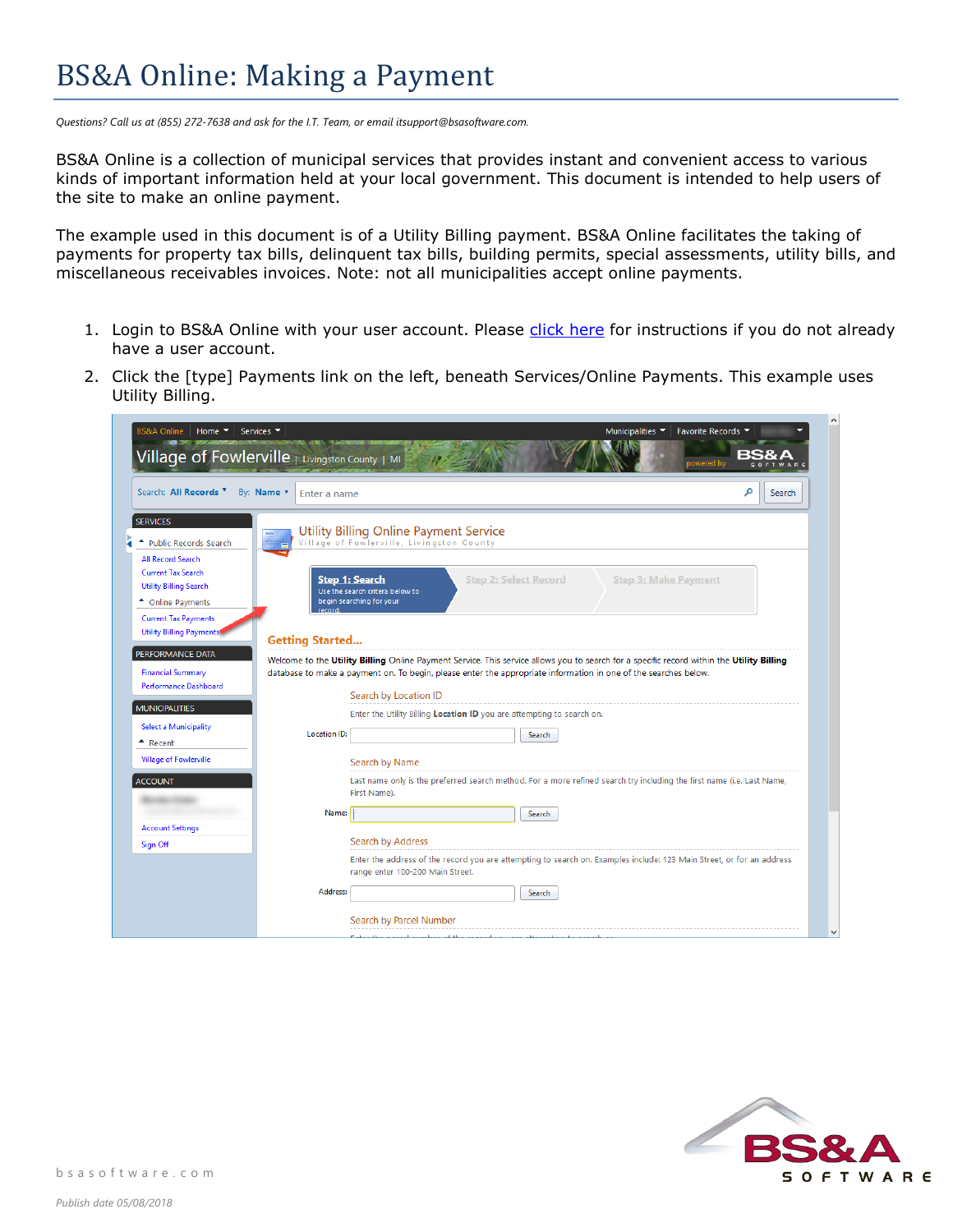## BS&A Online: Making a Payment

*Questions? Call us at (855) 272-7638 and ask for the I.T. Team, or email itsupport@bsasoftware.com.*

BS&A Online is a collection of municipal services that provides instant and convenient access to various kinds of important information held at your local government. This document is intended to help users of the site to make an online payment.

The example used in this document is of a Utility Billing payment. BS&A Online facilitates the taking of payments for property tax bills, delinquent tax bills, building permits, special assessments, utility bills, and miscellaneous receivables invoices. Note: not all municipalities accept online payments.

- 1. Login to BS&A Online with your user account. Please [click here](https://bsaonline.com/Documents/bsao_creatinguseraccount.pdf) for instructions if you do not already have a user account.
- 2. Click the [type] Payments link on the left, beneath Services/Online Payments. This example uses Utility Billing.

| Search: All Records <sup>V</sup><br>By: Name v<br>Enter a name                                                                                                                                                                             | م<br>Search                                                                                                                                                                                                                                                                                                                                                               |
|--------------------------------------------------------------------------------------------------------------------------------------------------------------------------------------------------------------------------------------------|---------------------------------------------------------------------------------------------------------------------------------------------------------------------------------------------------------------------------------------------------------------------------------------------------------------------------------------------------------------------------|
| <b>SERVICES</b><br><b>Public Records Search</b><br><b>All Record Search</b><br><b>Current Tax Search</b><br><b>Utility Billing Search</b><br>← Online Payments<br>record<br><b>Current Tax Payments</b><br><b>Utility Billing Payments</b> | <b>Utility Billing Online Payment Service</b><br>Village of Fowlerville, Livingston County<br><b>Step 2: Select Record</b><br><b>Step 1: Search</b><br><b>Step 3: Make Payment</b><br>Use the search critera below to<br>begin searching for your                                                                                                                         |
| <b>Getting Started</b><br>PERFORMANCE DATA<br><b>Financial Summary</b><br><b>Performance Dashboard</b><br><b>MUNICIPALITIES</b><br><b>Select a Municipality</b><br><b>Location ID:</b><br>$\textcolor{red}{\bullet}$ Recent                | Welcome to the Utility Billing Online Payment Service. This service allows you to search for a specific record within the Utility Billing<br>database to make a payment on. To begin, please enter the appropriate information in one of the searches below.<br>Search by Location ID<br>Enter the Utility Billing Location ID you are attempting to search on.<br>Search |
|                                                                                                                                                                                                                                            |                                                                                                                                                                                                                                                                                                                                                                           |
| <b>Village of Fowlerville</b><br><b>ACCOUNT</b><br><b>Account Settings</b><br>Sign Off                                                                                                                                                     | Search by Name<br>Last name only is the preferred search method. For a more refined search try including the first name (i.e. Last Name,<br>First Name).<br>Name:<br>Search<br><b>Search by Address</b><br>Enter the address of the record you are attempting to search on. Examples include: 123 Main Street, or for an address                                          |